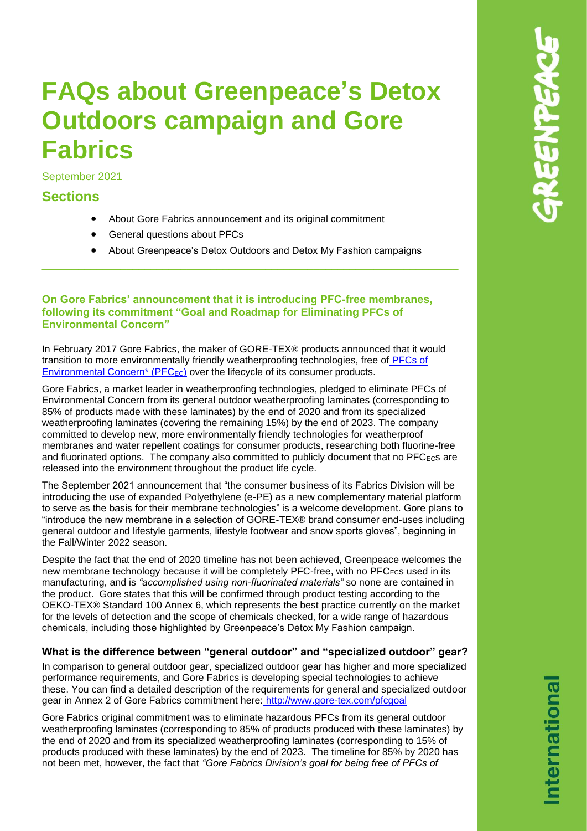# **FAQs about Greenpeace's Detox Outdoors campaign and Gore Fabrics**

September 2021

# **Sections**

- About Gore Fabrics announcement and its original commitment
- General questions about PFCs
- About Greenpeace's Detox Outdoors and Detox My Fashion campaigns

\_\_\_\_\_\_\_\_\_\_\_\_\_\_\_\_\_\_\_\_\_\_\_\_\_\_\_\_\_\_\_\_\_\_\_\_\_\_\_\_\_\_\_\_\_\_\_\_\_\_\_\_\_\_\_\_\_\_\_\_\_\_\_\_\_\_\_\_\_

#### **On Gore Fabrics' announcement that it is introducing PFC-free membranes, following its commitment "Goal and Roadmap for Eliminating PFCs of Environmental Concern"**

In February 2017 Gore Fabrics, the maker of GORE-TEX® products announced that it would transition to more environmentally friendly weatherproofing technologies, free of [PFCs of](https://www.gore-tex.com/node/18631)  Environmental Concern<sup>\*</sup> (PFC<sub>EC</sub>) over the lifecycle of its consumer products.

Gore Fabrics, a market leader in weatherproofing technologies, pledged to eliminate PFCs of Environmental Concern from its general outdoor weatherproofing laminates (corresponding to 85% of products made with these laminates) by the end of 2020 and from its specialized weatherproofing laminates (covering the remaining 15%) by the end of 2023. The company committed to develop new, more environmentally friendly technologies for weatherproof membranes and water repellent coatings for consumer products, researching both fluorine-free and fluorinated options. The company also committed to publicly document that no PFC<sub>ECS</sub> are released into the environment throughout the product life cycle.

The September 2021 announcement that "the consumer business of its Fabrics Division will be introducing the use of expanded Polyethylene (e-PE) as a new complementary material platform to serve as the basis for their membrane technologies" is a welcome development. Gore plans to "introduce the new membrane in a selection of GORE-TEX® brand consumer end-uses including general outdoor and lifestyle garments, lifestyle footwear and snow sports gloves", beginning in the Fall/Winter 2022 season.

Despite the fact that the end of 2020 timeline has not been achieved, Greenpeace welcomes the new membrane technology because it will be completely PFC-free, with no PFCECs used in its manufacturing, and is *"accomplished using non-fluorinated materials"* so none are contained in the product. Gore states that this will be confirmed through product testing according to the OEKO-TEX® Standard 100 Annex 6, which represents the best practice currently on the market for the levels of detection and the scope of chemicals checked, for a wide range of hazardous chemicals, including those highlighted by Greenpeace's Detox My Fashion campaign.

# **What is the difference between "general outdoor" and "specialized outdoor" gear?**

In comparison to general outdoor gear, specialized outdoor gear has higher and more specialized performance requirements, and Gore Fabrics is developing special technologies to achieve these. You can find a detailed description of the requirements for general and specialized outdoor gear in Annex 2 of Gore Fabrics commitment here: <http://www.gore-tex.com/pfcgoal>

Gore Fabrics original commitment was to eliminate hazardous PFCs from its general outdoor weatherproofing laminates (corresponding to 85% of products produced with these laminates) by the end of 2020 and from its specialized weatherproofing laminates (corresponding to 15% of products produced with these laminates) by the end of 2023. The timeline for 85% by 2020 has not been met, however, the fact that *"Gore Fabrics Division's goal for being free of PFCs of*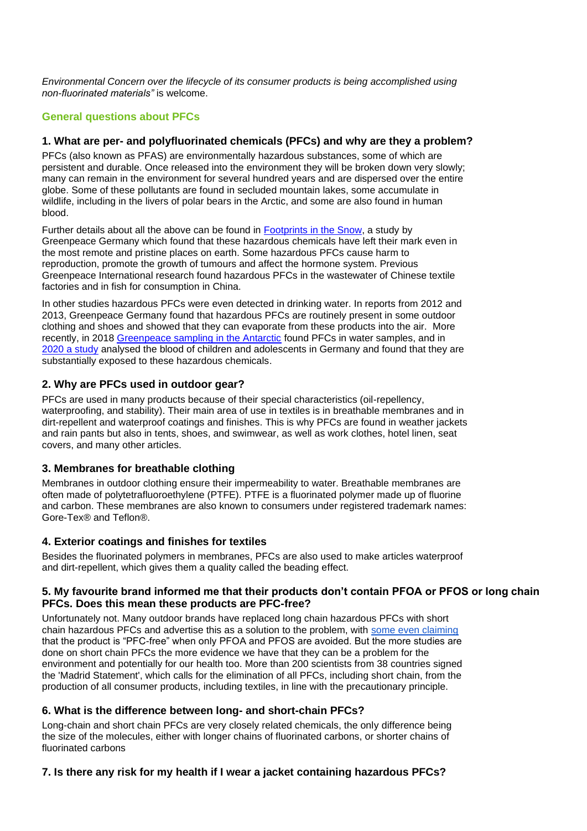*Environmental Concern over the lifecycle of its consumer products is being accomplished using non-fluorinated materials"* is welcome.

# **General questions about PFCs**

#### **1. What are per- and polyfluorinated chemicals (PFCs) and why are they a problem?**

PFCs (also known as PFAS) are environmentally hazardous substances, some of which are persistent and durable. Once released into the environment they will be broken down very slowly; many can remain in the environment for several hundred years and are dispersed over the entire globe. Some of these pollutants are found in secluded mountain lakes, some accumulate in wildlife, including in the livers of polar bears in the Arctic, and some are also found in human blood.

Further details about all the above can be found in [Footprints in the Snow,](https://storage.googleapis.com/planet4-international-stateless/2015/09/2a086e17-rae_report_08_2015_english_final.pdf) a study by Greenpeace Germany which found that these hazardous chemicals have left their mark even in the most remote and pristine places on earth. Some hazardous PFCs cause harm to reproduction, promote the growth of tumours and affect the hormone system. Previous Greenpeace International research found hazardous PFCs in the wastewater of Chinese textile factories and in fish for consumption in China.

In other studies hazardous PFCs were even detected in drinking water. In reports from 2012 and 2013, Greenpeace Germany found that hazardous PFCs are routinely present in some outdoor clothing and shoes and showed that they can evaporate from these products into the air. More recently, in 2018 [Greenpeace sampling in the Antarctic](https://www.greenpeace.org/international/publication/16899/microplastics-in-the-antarctic/) found PFCs in water samples, and in [2020 a study](https://www.sciencedirect.com/science/article/pii/S1438463920300584?via%3Dihub) analysed the blood of children and adolescents in Germany and found that they are substantially exposed to these hazardous chemicals.

# **2. Why are PFCs used in outdoor gear?**

PFCs are used in many products because of their special characteristics (oil-repellency, waterproofing, and stability). Their main area of use in textiles is in breathable membranes and in dirt-repellent and waterproof coatings and finishes. This is why PFCs are found in weather jackets and rain pants but also in tents, shoes, and swimwear, as well as work clothes, hotel linen, seat covers, and many other articles.

# **3. Membranes for breathable clothing**

Membranes in outdoor clothing ensure their impermeability to water. Breathable membranes are often made of polytetrafluoroethylene (PTFE). PTFE is a fluorinated polymer made up of fluorine and carbon. These membranes are also known to consumers under registered trademark names: Gore-Tex® and Teflon®.

# **4. Exterior coatings and finishes for textiles**

Besides the fluorinated polymers in membranes, PFCs are also used to make articles waterproof and dirt-repellent, which gives them a quality called the beading effect.

#### **5. My favourite brand informed me that their products don't contain PFOA or PFOS or long chain PFCs. Does this mean these products are PFC-free?**

Unfortunately not. Many outdoor brands have replaced long chain hazardous PFCs with short chain hazardous PFCs and advertise this as a solution to the problem, with [some even claiming](https://www.regatta.com/blog/regatta-pfc-free-clothing/) that the product is "PFC-free" when only PFOA and PFOS are avoided. But the more studies are done on short chain PFCs the more evidence we have that they can be a problem for the environment and potentially for our health too. More than 200 scientists from 38 countries signed the 'Madrid Statement', which calls for the elimination of all PFCs, including short chain, from the production of all consumer products, including textiles, in line with the precautionary principle.

# **6. What is the difference between long- and short-chain PFCs?**

Long-chain and short chain PFCs are very closely related chemicals, the only difference being the size of the molecules, either with longer chains of fluorinated carbons, or shorter chains of fluorinated carbons

# **7. Is there any risk for my health if I wear a jacket containing hazardous PFCs?**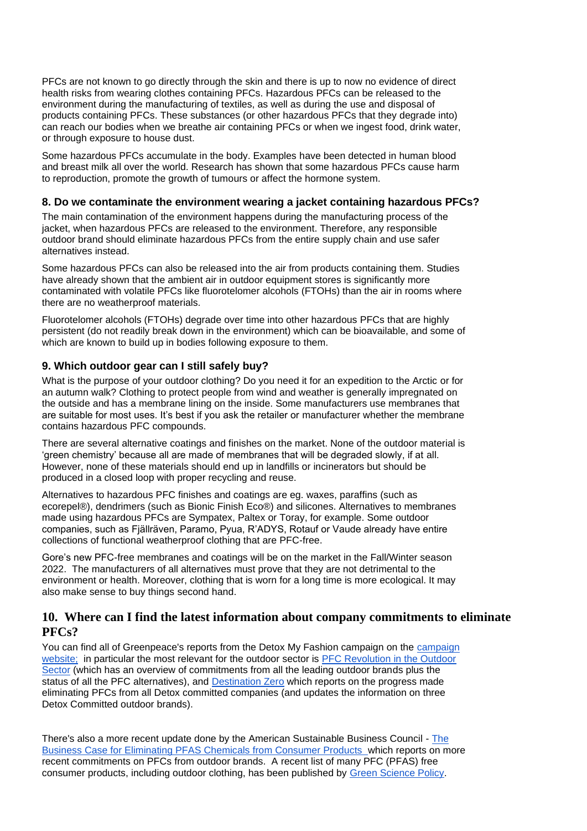PFCs are not known to go directly through the skin and there is up to now no evidence of direct health risks from wearing clothes containing PFCs. Hazardous PFCs can be released to the environment during the manufacturing of textiles, as well as during the use and disposal of products containing PFCs. These substances (or other hazardous PFCs that they degrade into) can reach our bodies when we breathe air containing PFCs or when we ingest food, drink water, or through exposure to house dust.

Some hazardous PFCs accumulate in the body. Examples have been detected in human blood and breast milk all over the world. Research has shown that some hazardous PFCs cause harm to reproduction, promote the growth of tumours or affect the hormone system.

#### **8. Do we contaminate the environment wearing a jacket containing hazardous PFCs?**

The main contamination of the environment happens during the manufacturing process of the jacket, when hazardous PFCs are released to the environment. Therefore, any responsible outdoor brand should eliminate hazardous PFCs from the entire supply chain and use safer alternatives instead.

Some hazardous PFCs can also be released into the air from products containing them. Studies have already shown that the ambient air in outdoor equipment stores is significantly more contaminated with volatile PFCs like fluorotelomer alcohols (FTOHs) than the air in rooms where there are no weatherproof materials.

Fluorotelomer alcohols (FTOHs) degrade over time into other hazardous PFCs that are highly persistent (do not readily break down in the environment) which can be bioavailable, and some of which are known to build up in bodies following exposure to them.

# **9. Which outdoor gear can I still safely buy?**

What is the purpose of your outdoor clothing? Do you need it for an expedition to the Arctic or for an autumn walk? Clothing to protect people from wind and weather is generally impregnated on the outside and has a membrane lining on the inside. Some manufacturers use membranes that are suitable for most uses. It's best if you ask the retailer or manufacturer whether the membrane contains hazardous PFC compounds.

There are several alternative coatings and finishes on the market. None of the outdoor material is 'green chemistry' because all are made of membranes that will be degraded slowly, if at all. However, none of these materials should end up in landfills or incinerators but should be produced in a closed loop with proper recycling and reuse.

Alternatives to hazardous PFC finishes and coatings are eg. waxes, paraffins (such as ecorepel®), dendrimers (such as Bionic Finish Eco®) and silicones. Alternatives to membranes made using hazardous PFCs are Sympatex, Paltex or Toray, for example. Some outdoor companies, such as Fjällräven, Paramo, Pyua, R'ADYS, Rotauf or Vaude already have entire collections of functional weatherproof clothing that are PFC-free.

Gore's new PFC-free membranes and coatings will be on the market in the Fall/Winter season 2022. The manufacturers of all alternatives must prove that they are not detrimental to the environment or health. Moreover, clothing that is worn for a long time is more ecological. It may also make sense to buy things second hand.

# **10. Where can I find the latest information about company commitments to eliminate PFCs?**

You can find all of Greenpeace's reports from the Detox My Fashion campaign on th[e](https://www.greenpeace.org/international/act/detox/) [campaign](https://www.greenpeace.org/international/act/detox/)  [website;](https://www.greenpeace.org/international/act/detox/) in particular the most relevant for the outdoor sector is [PFC Revolution in the Outdoor](https://storage.googleapis.com/planet4-international-stateless/2017/02/432f4056-pfc-revolution-in-outdoor-sector.pdf)  [Sector](https://storage.googleapis.com/planet4-international-stateless/2017/02/432f4056-pfc-revolution-in-outdoor-sector.pdf) (which has an overview of commitments from all the leading outdoor brands plus the status of all the PFC alternatives), and [Destination](https://www.greenpeace.org/international/publication/17612/destination-zero/) Zero which reports on the progress made eliminating PFCs from all Detox committed companies (and updates the information on three Detox Committed outdoor brands).

There's also a more recent update done by the American Sustainable Business Council [-](https://www.asbcouncil.org/sites/main/files/file-attachments/asbc-elimpfaschemicals-ff_0.pdf) [The](https://www.asbcouncil.org/sites/main/files/file-attachments/asbc-elimpfaschemicals-ff_0.pdf)  [Business Case for Eliminating PFAS Chemicals from Consumer Products w](https://www.asbcouncil.org/sites/main/files/file-attachments/asbc-elimpfaschemicals-ff_0.pdf)hich reports on more recent commitments on PFCs from outdoor brands. A recent list of many PFC (PFAS) free consumer products, including outdoor clothing, has been published by [Green Science Policy.](https://pfascentral.org/pfas-basics/pfas-free-products/)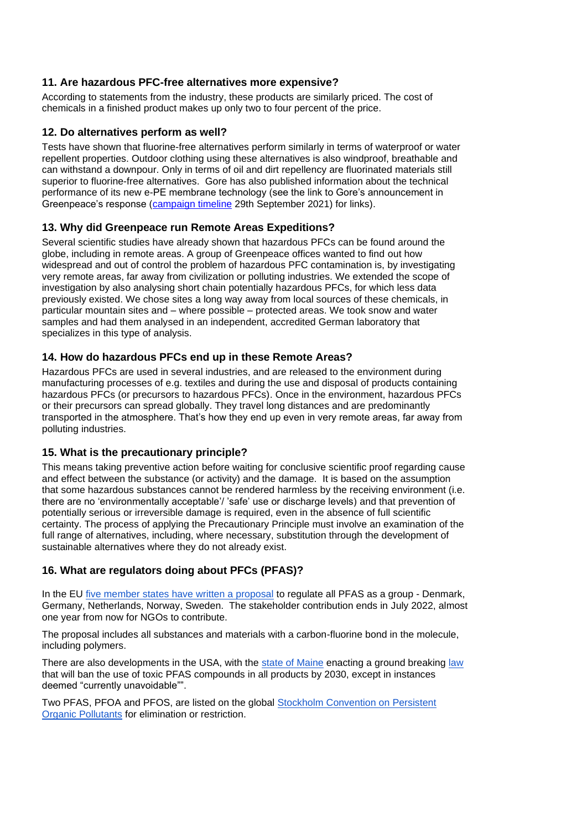#### **11. Are hazardous PFC-free alternatives more expensive?**

According to statements from the industry, these products are similarly priced. The cost of chemicals in a finished product makes up only two to four percent of the price.

#### **12. Do alternatives perform as well?**

Tests have shown that fluorine-free alternatives perform similarly in terms of waterproof or water repellent properties. Outdoor clothing using these alternatives is also windproof, breathable and can withstand a downpour. Only in terms of oil and dirt repellency are fluorinated materials still superior to fluorine-free alternatives. Gore has also published information about the technical performance of its new e-PE membrane technology (see the link to Gore's announcement in Greenpeace's response [\(campaign timeline](https://www.greenpeace.org/international/act/detox/) 29th September 2021) for links).

#### **13. Why did Greenpeace run Remote Areas Expeditions?**

Several scientific studies have already shown that hazardous PFCs can be found around the globe, including in remote areas. A group of Greenpeace offices wanted to find out how widespread and out of control the problem of hazardous PFC contamination is, by investigating very remote areas, far away from civilization or polluting industries. We extended the scope of investigation by also analysing short chain potentially hazardous PFCs, for which less data previously existed. We chose sites a long way away from local sources of these chemicals, in particular mountain sites and – where possible – protected areas. We took snow and water samples and had them analysed in an independent, accredited German laboratory that specializes in this type of analysis.

# **14. How do hazardous PFCs end up in these Remote Areas?**

Hazardous PFCs are used in several industries, and are released to the environment during manufacturing processes of e.g. textiles and during the use and disposal of products containing hazardous PFCs (or precursors to hazardous PFCs). Once in the environment, hazardous PFCs or their precursors can spread globally. They travel long distances and are predominantly transported in the atmosphere. That's how they end up even in very remote areas, far away from polluting industries.

#### **15. What is the precautionary principle?**

This means taking preventive action before waiting for conclusive scientific proof regarding cause and effect between the substance (or activity) and the damage. It is based on the assumption that some hazardous substances cannot be rendered harmless by the receiving environment (i.e. there are no 'environmentally acceptable'/ 'safe' use or discharge levels) and that prevention of potentially serious or irreversible damage is required, even in the absence of full scientific certainty. The process of applying the Precautionary Principle must involve an examination of the full range of alternatives, including, where necessary, substitution through the development of sustainable alternatives where they do not already exist.

# **16. What are regulators doing about PFCs (PFAS)?**

In the EU [five member states have written a proposal](https://echa.europa.eu/de/registry-of-restriction-intentions/-/dislist/details/0b0236e18663449b) to regulate all PFAS as a group - Denmark, Germany, Netherlands, Norway, Sweden. The stakeholder contribution ends in July 2022, almost one year from now for NGOs to contribute.

The proposal includes all substances and materials with a carbon-fluorine bond in the molecule, including polymers.

There are also developments in the USA, with the [state of Maine](https://www.theguardian.com/us-news/2021/jul/15/maine-law-pfas-forever-chemicals-ban) enacting a ground breaking [law](https://u7061146.ct.sendgrid.net/ls/click?upn=ziOAalYvj2xK2Ffv4A39a-2BnRtU2nCH3fwkQe62nS2t21twUZV2vFGQpxKOwzyuXU5UWUkLK88zWVnXAyMPU2SSYfp5l4AWwg986MHxlB9lk-3DoMji_V4tcxCftmPmxziwUAkyR3PSOWFFQrfXhnceW5U5TI0cRFB8W3ZF36YfyIOOY-2FcMcZi-2BY2MRVTvH9ErjnUqpUPqJfBrXimY8tDb1icCTLB1UpTaI-2F3mnVsjPhOGywLrSKJVF5Tg89PupouGZH4m5BIka685-2FWWEHrMHCSRjPXB37K-2FPSLZTLxhaZC1TGtNvTBGzsiOxsxsaX9778-2Fg2SnYIC9ITAS3V6-2BbUQP0xhw1W9haewxBV44sgre0u1eKMcAEflZnO2T5KeUBOFCuheIDEaQ2wq0f0XazDyCiWEb7nEpE-2BZ49yDNrImsD0PF0OTGE5MVSL2xtRS3-2FX1qi-2FPSoBKfMSXauT8fGVr5c9GxkDQ-3D) that will ban the use of toxic PFAS compounds in all products by 2030, except in instances deemed "currently unavoidable"".

Two PFAS, PFOA and PFOS, are listed on the global [Stockholm Convention on Persistent](http://chm.pops.int/TheConvention/ThePOPs/ListingofPOPs/tabid/2509/Default.aspx)  [Organic Pollutants](http://chm.pops.int/TheConvention/ThePOPs/ListingofPOPs/tabid/2509/Default.aspx) for elimination or restriction.